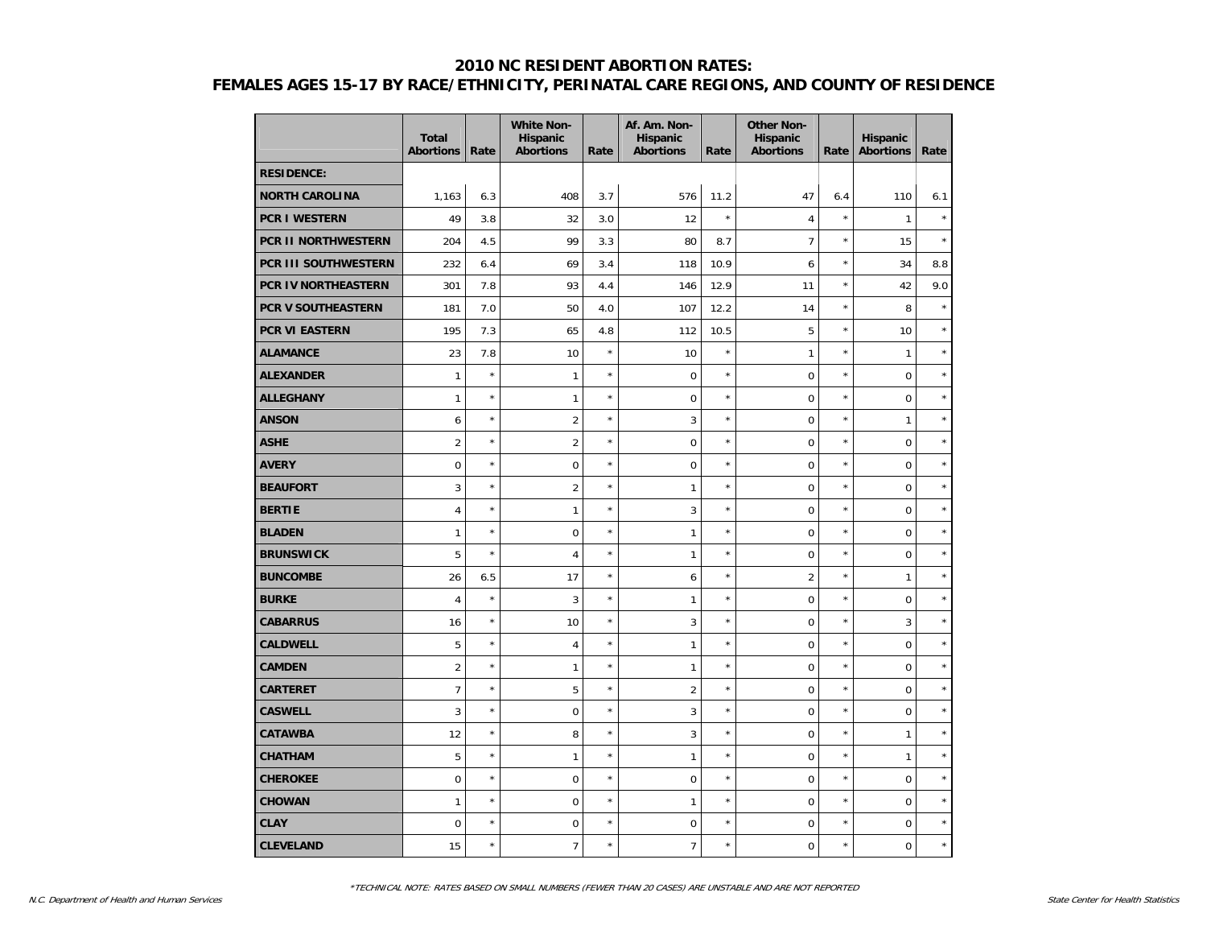|                       | <b>Total</b><br><b>Abortions</b> | Rate    | <b>White Non-</b><br><b>Hispanic</b><br><b>Abortions</b> | Rate    | Af. Am. Non-<br><b>Hispanic</b><br><b>Abortions</b> | Rate       | <b>Other Non-</b><br>Hispanic<br><b>Abortions</b> | Rate    | Hispanic<br><b>Abortions</b> | Rate       |
|-----------------------|----------------------------------|---------|----------------------------------------------------------|---------|-----------------------------------------------------|------------|---------------------------------------------------|---------|------------------------------|------------|
| <b>RESIDENCE:</b>     |                                  |         |                                                          |         |                                                     |            |                                                   |         |                              |            |
| <b>NORTH CAROLINA</b> | 1,163                            | 6.3     | 408                                                      | 3.7     | 576                                                 | 11.2       | 47                                                | 6.4     | 110                          | 6.1        |
| <b>PCR I WESTERN</b>  | 49                               | 3.8     | 32                                                       | 3.0     | 12                                                  | $\star$    | $\overline{4}$                                    | $\star$ | $\mathbf{1}$                 | $\star$    |
| PCR II NORTHWESTERN   | 204                              | 4.5     | 99                                                       | 3.3     | 80                                                  | 8.7        | $\overline{7}$                                    | $\star$ | 15                           | $\star$    |
| PCR III SOUTHWESTERN  | 232                              | 6.4     | 69                                                       | 3.4     | 118                                                 | 10.9       | 6                                                 | $\star$ | 34                           | 8.8        |
| PCR IV NORTHEASTERN   | 301                              | 7.8     | 93                                                       | 4.4     | 146                                                 | 12.9       | 11                                                | $\star$ | 42                           | 9.0        |
| PCR V SOUTHEASTERN    | 181                              | 7.0     | 50                                                       | 4.0     | 107                                                 | 12.2       | 14                                                | $\star$ | 8                            | $\star$    |
| <b>PCR VI EASTERN</b> | 195                              | 7.3     | 65                                                       | 4.8     | 112                                                 | 10.5       | 5                                                 | $\star$ | 10                           | $\star$    |
| <b>ALAMANCE</b>       | 23                               | 7.8     | 10                                                       | $\star$ | 10                                                  | $\star$    | 1                                                 | $\star$ | $\mathbf{1}$                 | $\star$    |
| <b>ALEXANDER</b>      | 1                                | $\star$ | 1                                                        | $\star$ | $\mathbf 0$                                         | $\star$    | $\mathbf 0$                                       | $\star$ | 0                            | $^{\star}$ |
| <b>ALLEGHANY</b>      | $\mathbf{1}$                     | $\star$ | $\mathbf{1}$                                             | $\star$ | $\mathbf 0$                                         | $\star$    | $\overline{0}$                                    | $\star$ | 0                            | $\star$    |
| <b>ANSON</b>          | 6                                | $\star$ | $\overline{2}$                                           | $\star$ | 3                                                   | $\star$    | $\overline{0}$                                    | $\star$ | $\mathbf{1}$                 | $\star$    |
| <b>ASHE</b>           | $\overline{2}$                   | $\star$ | $\overline{2}$                                           | $\star$ | $\mathbf 0$                                         | $\star$    | $\overline{0}$                                    | $\star$ | 0                            | $^{\star}$ |
| <b>AVERY</b>          | 0                                | $\star$ | $\boldsymbol{0}$                                         | $\star$ | $\pmb{0}$                                           | $\star$    | $\mathbf 0$                                       | $\star$ | 0                            | $\star$    |
| <b>BEAUFORT</b>       | 3                                | $\star$ | $\overline{2}$                                           | $\star$ | $\mathbf{1}$                                        | $\star$    | $\mathbf 0$                                       | $\star$ | $\mathbf 0$                  | $\star$    |
| <b>BERTIE</b>         | $\overline{4}$                   | $\star$ | $\mathbf{1}$                                             | $\star$ | $\mathbf{3}$                                        | $\star$    | $\mathbf 0$                                       | $\star$ | 0                            | $\star$    |
| <b>BLADEN</b>         | $\mathbf{1}$                     | $\star$ | $\mathbf 0$                                              | $\star$ | $\mathbf{1}$                                        | $\star$    | $\mathbf 0$                                       | $\star$ | 0                            | $\star$    |
| <b>BRUNSWICK</b>      | 5                                | $\star$ | $\overline{4}$                                           | $\star$ | $\mathbf{1}$                                        | $\star$    | $\mathbf 0$                                       | $\star$ | 0                            | $\star$    |
| <b>BUNCOMBE</b>       | 26                               | 6.5     | 17                                                       | $\star$ | 6                                                   | $\star$    | $\overline{2}$                                    | $\star$ | $\mathbf{1}$                 | $\star$    |
| <b>BURKE</b>          | $\overline{4}$                   | $\star$ | 3                                                        | $\star$ | $\mathbf{1}$                                        | $\star$    | $\mathbf 0$                                       | $\star$ | 0                            | $\star$    |
| <b>CABARRUS</b>       | 16                               | $\star$ | 10                                                       | $\star$ | $\mathbf{3}$                                        | $\star$    | $\mathbf 0$                                       | $\star$ | 3                            | $\star$    |
| <b>CALDWELL</b>       | 5                                | $\star$ | $\overline{4}$                                           | $\star$ | $\mathbf{1}$                                        | $\star$    | $\mathbf 0$                                       | $\star$ | 0                            | $\star$    |
| <b>CAMDEN</b>         | $\overline{2}$                   | $\star$ | $\mathbf{1}$                                             | $\star$ | $\mathbf{1}$                                        | $\star$    | $\overline{0}$                                    | $\star$ | 0                            | $\star$    |
| <b>CARTERET</b>       | $\overline{7}$                   | $\star$ | 5                                                        | $\star$ | $\overline{2}$                                      | $\star$    | $\overline{0}$                                    | $\star$ | $\mathbf 0$                  | $\star$    |
| <b>CASWELL</b>        | 3                                | $\star$ | $\boldsymbol{0}$                                         | $\star$ | $\mathbf{3}$                                        | $\star$    | $\mathbf 0$                                       | $\star$ | 0                            | $\star$    |
| <b>CATAWBA</b>        | 12                               | $\star$ | 8                                                        | $\star$ | $\sqrt{3}$                                          | $\star$    | $\mathbf 0$                                       | $\star$ | $\mathbf{1}$                 | $\star$    |
| <b>CHATHAM</b>        | 5                                | $\star$ | $\mathbf{1}$                                             | $\star$ | $\mathbf{1}$                                        | $\star$    | $\overline{0}$                                    | $\star$ | $\mathbf{1}$                 | $\star$    |
| <b>CHEROKEE</b>       | 0                                | $\star$ | $\mathbf 0$                                              | $\star$ | $\mathbf 0$                                         | $^{\star}$ | $\overline{0}$                                    | $\star$ | 0                            | $\star$    |
| <b>CHOWAN</b>         | $\mathbf{1}$                     | $\star$ | $\mathbf 0$                                              | $\star$ | $\mathbf{1}$                                        | $\star$    | $\overline{0}$                                    | $\star$ | 0                            | $\star$    |
| <b>CLAY</b>           | 0                                | $\star$ | $\mathbf 0$                                              | $\star$ | $\pmb{0}$                                           | $\star$    | $\mathbf 0$                                       | $\star$ | 0                            | $\star$    |
| <b>CLEVELAND</b>      | 15                               | $\star$ | $\overline{7}$                                           | $\star$ | $\overline{7}$                                      | $\star$    | $\mathbf 0$                                       | $\star$ | 0                            | $\star$    |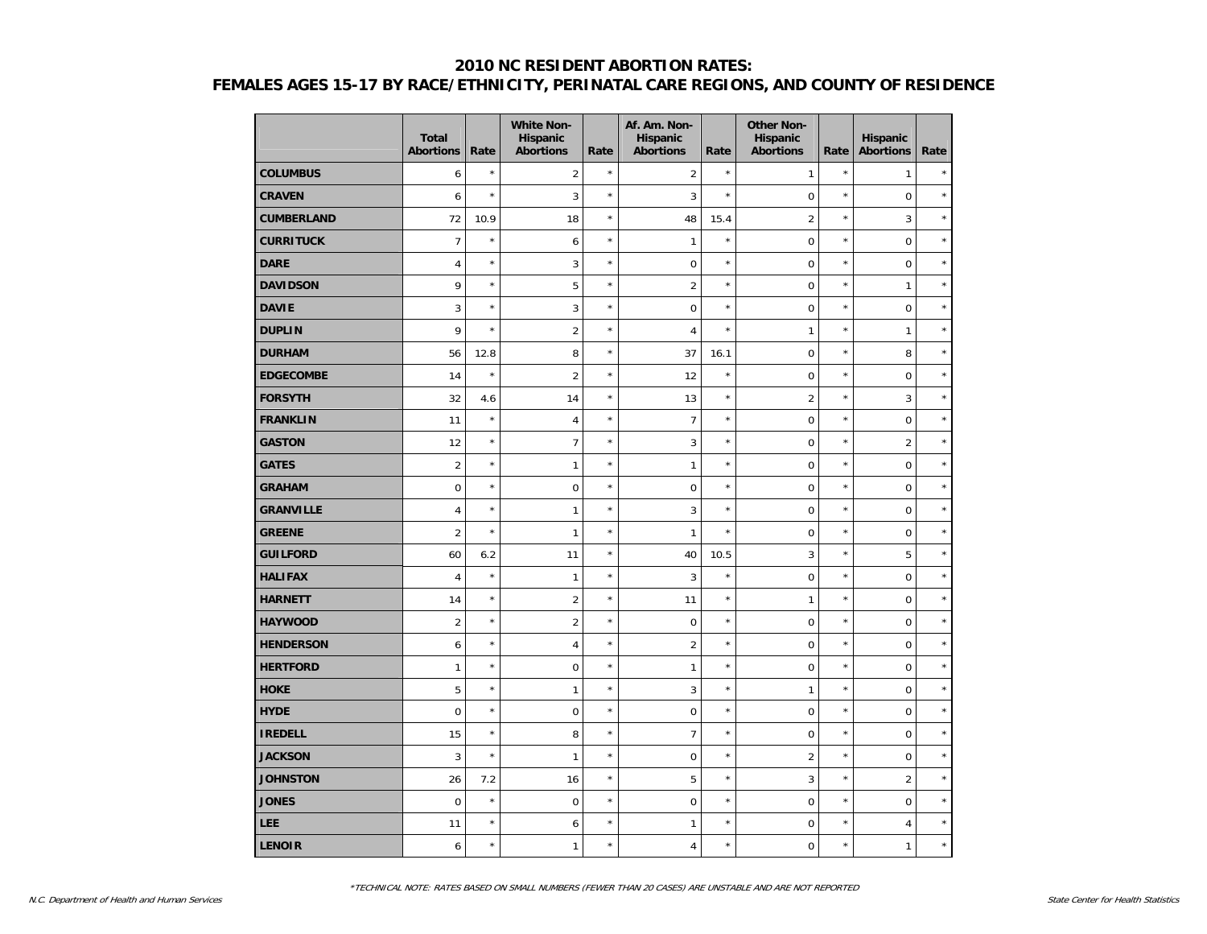|                   | <b>Total</b><br><b>Abortions</b> | Rate    | <b>White Non-</b><br>Hispanic<br><b>Abortions</b> | Rate       | Af. Am. Non-<br><b>Hispanic</b><br><b>Abortions</b> | Rate       | <b>Other Non-</b><br>Hispanic<br><b>Abortions</b> | Rate    | <b>Hispanic</b><br><b>Abortions</b> | Rate    |
|-------------------|----------------------------------|---------|---------------------------------------------------|------------|-----------------------------------------------------|------------|---------------------------------------------------|---------|-------------------------------------|---------|
| <b>COLUMBUS</b>   | 6                                | $\star$ | $\overline{2}$                                    | $\star$    | $\overline{2}$                                      | $\star$    | 1                                                 | $\star$ | $\mathbf{1}$                        | $\star$ |
| <b>CRAVEN</b>     | 6                                | $\star$ | 3                                                 | $\star$    | 3                                                   | $\star$    | 0                                                 | $\star$ | $\mathsf{O}\xspace$                 | $\star$ |
| <b>CUMBERLAND</b> | 72                               | 10.9    | 18                                                | $\star$    | 48                                                  | 15.4       | $\overline{2}$                                    | $\star$ | 3                                   | $\star$ |
| <b>CURRITUCK</b>  | $\overline{7}$                   | $\star$ | 6                                                 | $\star$    | $\mathbf{1}$                                        | $\star$    | $\mathbf 0$                                       | $\star$ | $\mathbf 0$                         | $\star$ |
| <b>DARE</b>       | $\overline{4}$                   | $\star$ | 3                                                 | $\star$    | $\mathbf 0$                                         | $\star$    | $\pmb{0}$                                         | $\star$ | $\mathbf 0$                         | $\star$ |
| <b>DAVIDSON</b>   | 9                                | $\star$ | 5                                                 | $\star$    | $\overline{2}$                                      | $\star$    | $\mathbf 0$                                       | $\star$ | $\mathbf{1}$                        | $\star$ |
| <b>DAVIE</b>      | 3                                | $\star$ | 3                                                 | $^{\star}$ | $\mathbf 0$                                         | $^{\star}$ | $\pmb{0}$                                         | $\star$ | $\mathbf 0$                         | $\star$ |
| <b>DUPLIN</b>     | 9                                | $\star$ | $\overline{2}$                                    | $\star$    | 4                                                   | $\star$    | 1                                                 | $\star$ | $\mathbf{1}$                        | $\star$ |
| <b>DURHAM</b>     | 56                               | 12.8    | 8                                                 | $^{\star}$ | 37                                                  | 16.1       | 0                                                 | $\star$ | 8                                   | $\star$ |
| <b>EDGECOMBE</b>  | 14                               | $\star$ | $\overline{2}$                                    | $^{\star}$ | 12                                                  | $\star$    | $\mathbf 0$                                       | $\star$ | $\mathbf 0$                         | $\star$ |
| <b>FORSYTH</b>    | 32                               | 4.6     | 14                                                | $^{\star}$ | 13                                                  | $\star$    | $\overline{2}$                                    | $\star$ | $\mathbf{3}$                        | $\star$ |
| <b>FRANKLIN</b>   | 11                               | $\star$ | $\overline{4}$                                    | $\star$    | $\overline{7}$                                      | $\star$    | $\pmb{0}$                                         | $\star$ | $\mathbf 0$                         | $\star$ |
| <b>GASTON</b>     | 12                               | $\star$ | $\overline{7}$                                    | $\star$    | 3                                                   | $\star$    | 0                                                 | $\star$ | $\overline{2}$                      | $\star$ |
| <b>GATES</b>      | $\overline{2}$                   | $\star$ | $\mathbf{1}$                                      | $\star$    | 1                                                   | $^{\star}$ | $\mathbf 0$                                       | $\star$ | $\mathsf{O}\xspace$                 | $\star$ |
| <b>GRAHAM</b>     | $\mathbf 0$                      | $\star$ | $\mathbf 0$                                       | $^{\star}$ | $\mathbf 0$                                         | $\star$    | $\mathbf 0$                                       | $\star$ | $\mathbf 0$                         | $\star$ |
| <b>GRANVILLE</b>  | $\overline{4}$                   | $\star$ | $\mathbf{1}$                                      | $^{\star}$ | 3                                                   | $\star$    | $\mathbf 0$                                       | $\star$ | $\mathbf 0$                         | $\star$ |
| <b>GREENE</b>     | $\overline{2}$                   | $\star$ | $\mathbf{1}$                                      | $^{\star}$ | $\mathbf{1}$                                        | $\star$    | $\pmb{0}$                                         | $\star$ | $\mathbf 0$                         | $\star$ |
| <b>GUILFORD</b>   | 60                               | 6.2     | 11                                                | $^{\star}$ | 40                                                  | 10.5       | 3                                                 | $\star$ | 5                                   | $\star$ |
| <b>HALIFAX</b>    | $\overline{4}$                   | $\star$ | $\mathbf{1}$                                      | $\star$    | 3                                                   | $\star$    | $\mathbf 0$                                       | $\star$ | $\mathsf{O}\xspace$                 | $\star$ |
| <b>HARNETT</b>    | 14                               | $\star$ | $\overline{2}$                                    | $^{\star}$ | 11                                                  | $\star$    | 1                                                 | $\star$ | $\mathbf 0$                         | $\star$ |
| <b>HAYWOOD</b>    | $\overline{2}$                   | $\star$ | $\overline{2}$                                    | $^{\star}$ | $\mathbf 0$                                         | $\star$    | $\mathbf 0$                                       | $\star$ | $\mathbf 0$                         | $\star$ |
| <b>HENDERSON</b>  | 6                                | $\star$ | $\overline{4}$                                    | $^{\star}$ | $\overline{2}$                                      | $\star$    | $\mathbf 0$                                       | $\star$ | $\mathbf 0$                         | $\star$ |
| <b>HERTFORD</b>   | $\mathbf{1}$                     | $\star$ | $\mathbf 0$                                       | $^{\star}$ | $\mathbf{1}$                                        | $\star$    | $\mathbf 0$                                       | $\star$ | $\mathbf 0$                         | $\star$ |
| <b>HOKE</b>       | 5                                | $\star$ | $\mathbf{1}$                                      | $^{\star}$ | 3                                                   | $\star$    | 1                                                 | $\star$ | $\pmb{0}$                           | $\star$ |
| <b>HYDE</b>       | $\mathbf 0$                      | $\star$ | $\mathbf 0$                                       | $^{\star}$ | $\mathbf 0$                                         | $\star$    | $\pmb{0}$                                         | $\star$ | $\mathbf 0$                         | $\star$ |
| <b>IREDELL</b>    | 15                               | $\star$ | 8                                                 | $\star$    | $\overline{7}$                                      | $\star$    | $\mathbf 0$                                       | $\star$ | $\mathsf{O}\xspace$                 | $\star$ |
| <b>JACKSON</b>    | 3                                | $\star$ | $\mathbf{1}$                                      | $^{\star}$ | $\mathbf 0$                                         | $\star$    | $\overline{2}$                                    | $\star$ | $\mathbf 0$                         | $\star$ |
| <b>JOHNSTON</b>   | 26                               | 7.2     | 16                                                | $^{\star}$ | 5                                                   | $\star$    | 3                                                 | $\star$ | $\overline{2}$                      | $\star$ |
| <b>JONES</b>      | $\mathbf 0$                      | $\star$ | $\mathbf 0$                                       | $^{\star}$ | $\mathbf 0$                                         | $\star$    | $\mathbf 0$                                       | $\star$ | $\mathbf 0$                         | $\star$ |
| LEE               | 11                               | $\star$ | 6                                                 | $^{\star}$ | 1                                                   | $\star$    | 0                                                 | $\star$ | $\overline{4}$                      | $\star$ |
| <b>LENOIR</b>     | 6                                | $\star$ | $\mathbf{1}$                                      | ×          | 4                                                   | $\star$    | 0                                                 | $\star$ | $\mathbf{1}$                        | $\star$ |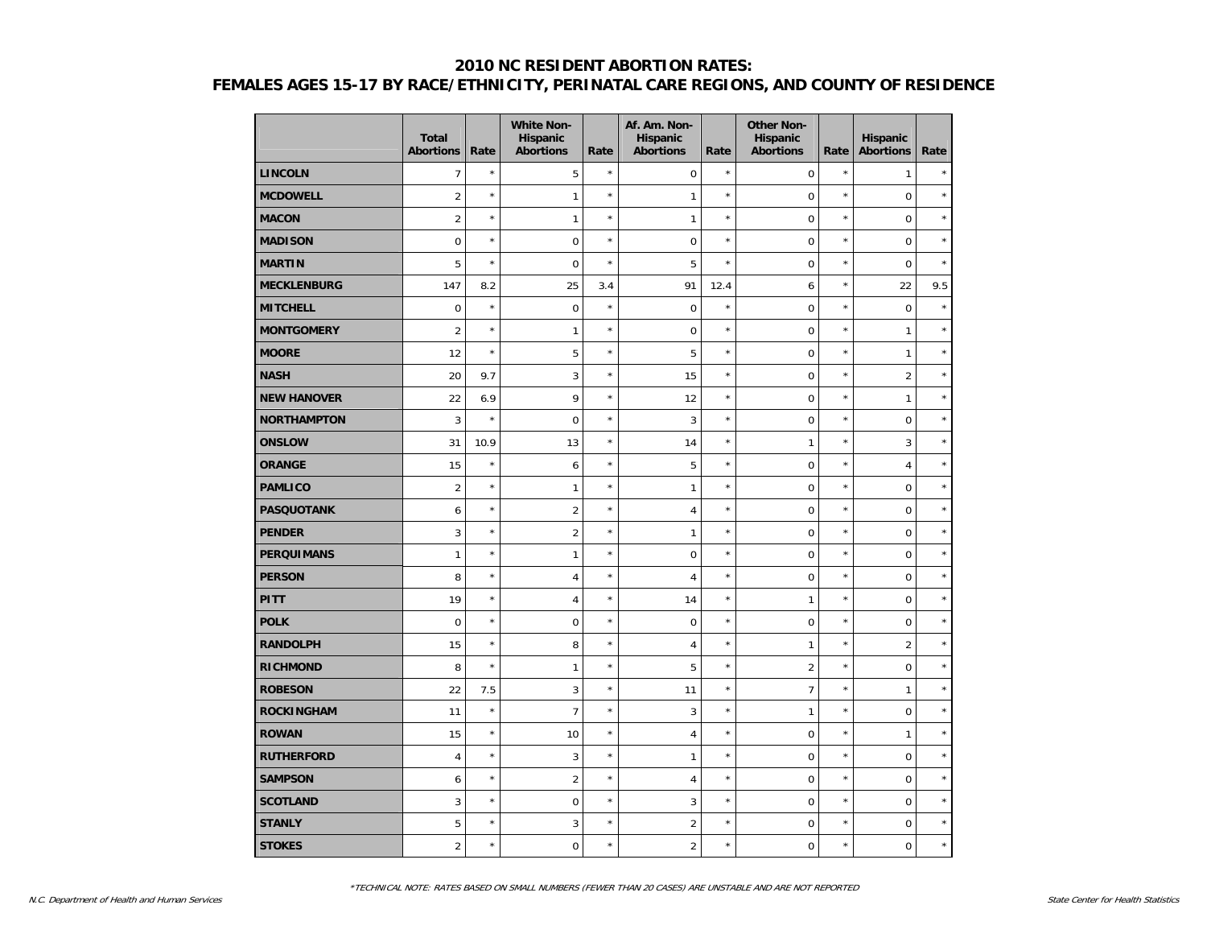|                    | <b>Total</b><br><b>Abortions</b> | Rate       | <b>White Non-</b><br><b>Hispanic</b><br><b>Abortions</b> | Rate       | Af. Am. Non-<br>Hispanic<br><b>Abortions</b> | Rate       | <b>Other Non-</b><br>Hispanic<br><b>Abortions</b> | Rate    | Hispanic<br><b>Abortions</b> | Rate    |
|--------------------|----------------------------------|------------|----------------------------------------------------------|------------|----------------------------------------------|------------|---------------------------------------------------|---------|------------------------------|---------|
| <b>LINCOLN</b>     | $\overline{7}$                   | $\star$    | 5                                                        | $\star$    | $\mathbf 0$                                  | $\star$    | $\mathbf 0$                                       | $\star$ | $\mathbf{1}$                 |         |
| <b>MCDOWELL</b>    | $\overline{2}$                   | $\star$    | $\mathbf{1}$                                             | $\star$    | $\mathbf{1}$                                 | $^{\star}$ | $\mathbf 0$                                       | $\star$ | $\mathbf 0$                  | $\star$ |
| <b>MACON</b>       | $\overline{2}$                   | $\star$    | $\mathbf{1}$                                             | $^{\star}$ | $\mathbf{1}$                                 | $^{\star}$ | $\overline{0}$                                    | $\star$ | $\mathbf 0$                  | $\star$ |
| <b>MADISON</b>     | $\boldsymbol{0}$                 | $\star$    | $\boldsymbol{0}$                                         | $\star$    | $\mathbf 0$                                  | $\star$    | $\mathbf 0$                                       | $\star$ | $\pmb{0}$                    | $\star$ |
| <b>MARTIN</b>      | 5                                | $\star$    | $\mathbf 0$                                              | $\star$    | 5                                            | $\star$    | $\mathbf 0$                                       | $\star$ | $\mathbf 0$                  | $\star$ |
| <b>MECKLENBURG</b> | 147                              | 8.2        | 25                                                       | 3.4        | 91                                           | 12.4       | 6                                                 | $\star$ | 22                           | 9.5     |
| <b>MITCHELL</b>    | 0                                | $^{\star}$ | $\mathbf 0$                                              | $\star$    | $\mathbf 0$                                  | $^{\star}$ | $\overline{0}$                                    | $\star$ | $\mathbf 0$                  | $\star$ |
| <b>MONTGOMERY</b>  | $\overline{2}$                   | $\star$    | $\mathbf{1}$                                             | $^{\star}$ | $\mathbf 0$                                  | $^{\star}$ | $\overline{0}$                                    | $\star$ | $\mathbf{1}$                 | $\star$ |
| <b>MOORE</b>       | 12                               | $\star$    | 5                                                        | $\star$    | 5                                            | $^{\star}$ | $\overline{0}$                                    | $\star$ | $\mathbf{1}$                 | $\star$ |
| <b>NASH</b>        | 20                               | 9.7        | 3                                                        | $\star$    | 15                                           | $\star$    | $\mathbf 0$                                       | $\star$ | $\overline{2}$               | $\star$ |
| <b>NEW HANOVER</b> | 22                               | 6.9        | 9                                                        | $\star$    | 12                                           | $\star$    | $\mathbf 0$                                       | $\star$ | $\mathbf{1}$                 | $\star$ |
| <b>NORTHAMPTON</b> | 3                                | $\star$    | $\mathbf 0$                                              | $\star$    | 3                                            | $\star$    | $\mathbf 0$                                       | $\star$ | $\mathbf 0$                  | $\star$ |
| <b>ONSLOW</b>      | 31                               | 10.9       | 13                                                       | $\star$    | 14                                           | $^{\star}$ | 1                                                 | $\star$ | 3                            | $\star$ |
| <b>ORANGE</b>      | 15                               | $\star$    | 6                                                        | $\star$    | 5                                            | ×          | $\mathbf 0$                                       | $\star$ | $\overline{4}$               | $\star$ |
| <b>PAMLICO</b>     | $\overline{2}$                   | $\star$    | $\mathbf{1}$                                             | $\star$    | $\mathbf{1}$                                 | $\star$    | $\overline{0}$                                    | $\star$ | $\mathbf 0$                  | $\star$ |
| <b>PASQUOTANK</b>  | 6                                | $\star$    | $\overline{2}$                                           | $\star$    | $\overline{4}$                               | $\star$    | $\overline{0}$                                    | $\star$ | $\mathbf 0$                  | $\star$ |
| <b>PENDER</b>      | 3                                | $\star$    | $\overline{2}$                                           | $\star$    | $\mathbf{1}$                                 | $\star$    | $\mathbf 0$                                       | $\star$ | $\mathbf 0$                  | $\star$ |
| <b>PERQUIMANS</b>  | $\mathbf{1}$                     | $\star$    | $\mathbf{1}$                                             | $\star$    | $\boldsymbol{0}$                             | $\star$    | $\mathbf 0$                                       | $\star$ | $\mathbf 0$                  | $\star$ |
| <b>PERSON</b>      | 8                                | $\star$    | $\overline{4}$                                           | $\star$    | $\overline{4}$                               | $\star$    | $\overline{0}$                                    | $\star$ | $\mathbf 0$                  | $\star$ |
| <b>PITT</b>        | 19                               | $\star$    | $\overline{4}$                                           | $\star$    | 14                                           | $\star$    | 1                                                 | $\star$ | $\mathbf 0$                  | $\star$ |
| <b>POLK</b>        | $\overline{0}$                   | $\star$    | $\mathbf 0$                                              | $\star$    | $\mathbf 0$                                  | $\star$    | $\overline{0}$                                    | $\star$ | $\mathbf 0$                  | $\star$ |
| <b>RANDOLPH</b>    | 15                               | $\star$    | 8                                                        | $\star$    | $\overline{4}$                               | $\star$    | $\mathbf{1}$                                      | $\star$ | $\overline{2}$               | $\star$ |
| <b>RICHMOND</b>    | 8                                | $\star$    | $\mathbf{1}$                                             | $\star$    | 5                                            | $\star$    | $\overline{2}$                                    | $\star$ | $\mathbf 0$                  | $\star$ |
| <b>ROBESON</b>     | 22                               | 7.5        | $\sqrt{3}$                                               | $\star$    | 11                                           | $\star$    | $\overline{7}$                                    | $\star$ | $\mathbf{1}$                 | $\star$ |
| <b>ROCKINGHAM</b>  | 11                               | $\star$    | $\overline{7}$                                           | $\star$    | 3                                            | $\star$    | 1                                                 | $\star$ | $\mathbf 0$                  | $\star$ |
| <b>ROWAN</b>       | 15                               | $\star$    | 10                                                       | $\star$    | $\overline{4}$                               | $\star$    | $\mathbf 0$                                       | $\star$ | 1                            | $\star$ |
| <b>RUTHERFORD</b>  | 4                                | $\star$    | 3                                                        | $\star$    | $\mathbf{1}$                                 | $\star$    | $\overline{0}$                                    | $\star$ | $\mathbf 0$                  | $\star$ |
| <b>SAMPSON</b>     | 6                                | $\star$    | $\overline{2}$                                           | $\star$    | $\overline{4}$                               | $\star$    | $\overline{0}$                                    | $\star$ | $\mathbf 0$                  | $\star$ |
| <b>SCOTLAND</b>    | 3                                | $\star$    | $\mathbf 0$                                              | $\star$    | 3                                            | $\star$    | $\overline{0}$                                    | $\star$ | $\mathbf 0$                  | $\star$ |
| <b>STANLY</b>      | 5                                | $\star$    | 3                                                        | $\star$    | $\overline{2}$                               | $\star$    | $\mathbf 0$                                       | $\star$ | $\pmb{0}$                    | $\star$ |
| <b>STOKES</b>      | $\overline{2}$                   | $\star$    | $\mathbf 0$                                              | $\star$    | $\overline{a}$                               | $\star$    | $\overline{0}$                                    | $\star$ | $\mathsf 0$                  | $\star$ |